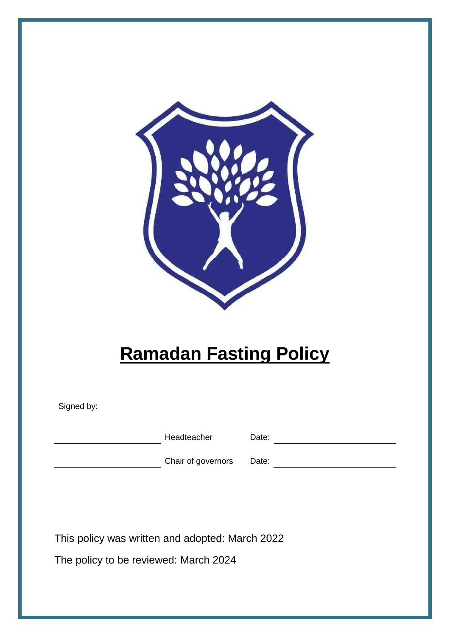

# **Ramadan Fasting Policy**

Signed by:

Headteacher Date: Date:

**Chair of governors** Date: **Date: Chair of governors** Date:

This policy was written and adopted: March 2022

The policy to be reviewed: March 2024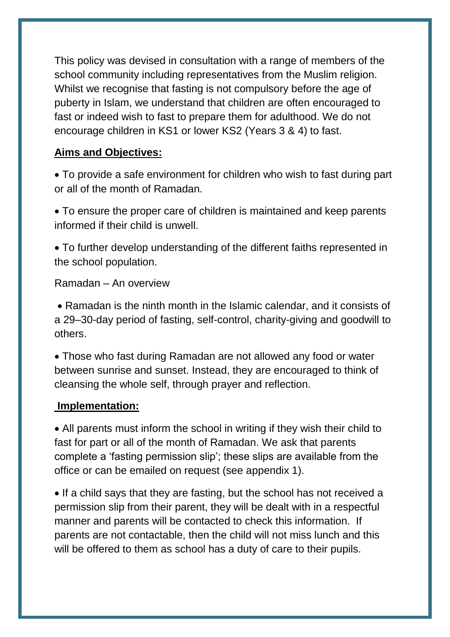This policy was devised in consultation with a range of members of the school community including representatives from the Muslim religion. Whilst we recognise that fasting is not compulsory before the age of puberty in Islam, we understand that children are often encouraged to fast or indeed wish to fast to prepare them for adulthood. We do not encourage children in KS1 or lower KS2 (Years 3 & 4) to fast.

### **Aims and Objectives:**

 To provide a safe environment for children who wish to fast during part or all of the month of Ramadan.

 To ensure the proper care of children is maintained and keep parents informed if their child is unwell.

 To further develop understanding of the different faiths represented in the school population.

Ramadan – An overview

• Ramadan is the ninth month in the Islamic calendar, and it consists of a 29–30-day period of fasting, self-control, charity-giving and goodwill to others.

 Those who fast during Ramadan are not allowed any food or water between sunrise and sunset. Instead, they are encouraged to think of cleansing the whole self, through prayer and reflection.

#### **Implementation:**

 All parents must inform the school in writing if they wish their child to fast for part or all of the month of Ramadan. We ask that parents complete a 'fasting permission slip'; these slips are available from the office or can be emailed on request (see appendix 1).

• If a child says that they are fasting, but the school has not received a permission slip from their parent, they will be dealt with in a respectful manner and parents will be contacted to check this information. If parents are not contactable, then the child will not miss lunch and this will be offered to them as school has a duty of care to their pupils.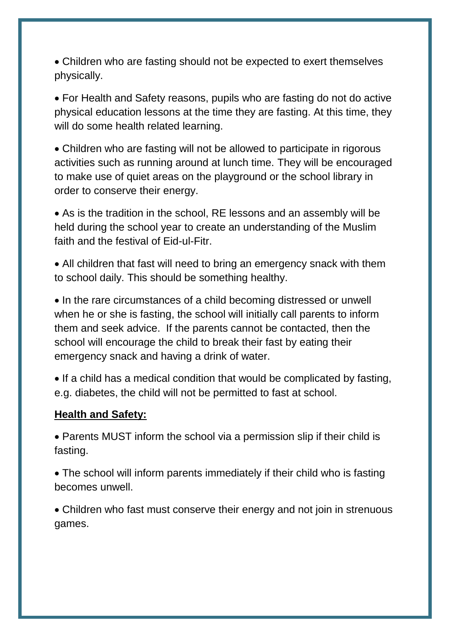Children who are fasting should not be expected to exert themselves physically.

 For Health and Safety reasons, pupils who are fasting do not do active physical education lessons at the time they are fasting. At this time, they will do some health related learning.

 Children who are fasting will not be allowed to participate in rigorous activities such as running around at lunch time. They will be encouraged to make use of quiet areas on the playground or the school library in order to conserve their energy.

 As is the tradition in the school, RE lessons and an assembly will be held during the school year to create an understanding of the Muslim faith and the festival of Eid-ul-Fitr.

 All children that fast will need to bring an emergency snack with them to school daily. This should be something healthy.

• In the rare circumstances of a child becoming distressed or unwell when he or she is fasting, the school will initially call parents to inform them and seek advice. If the parents cannot be contacted, then the school will encourage the child to break their fast by eating their emergency snack and having a drink of water.

• If a child has a medical condition that would be complicated by fasting, e.g. diabetes, the child will not be permitted to fast at school.

#### **Health and Safety:**

 Parents MUST inform the school via a permission slip if their child is fasting.

 The school will inform parents immediately if their child who is fasting becomes unwell.

 Children who fast must conserve their energy and not join in strenuous games.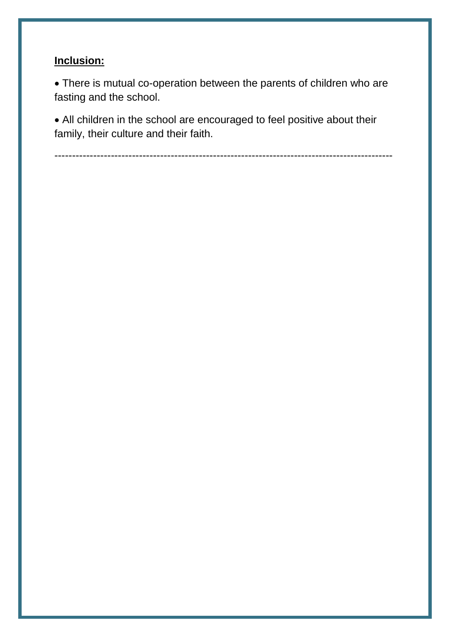# **Inclusion:**

 There is mutual co-operation between the parents of children who are fasting and the school.

 All children in the school are encouraged to feel positive about their family, their culture and their faith.

------------------------------------------------------------------------------------------------